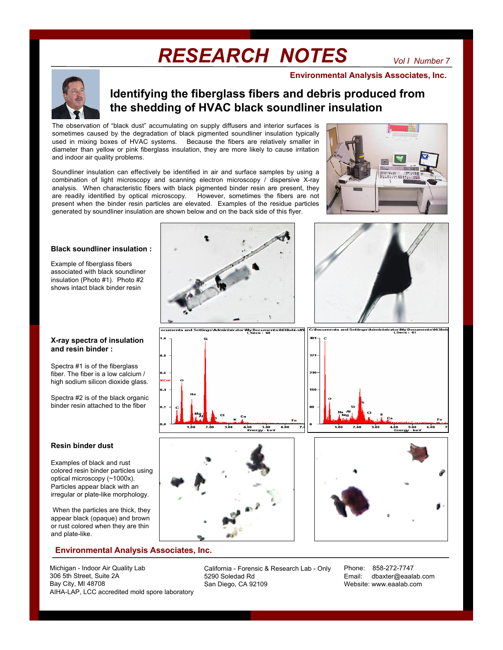# *RESEARCH NOTES*

**Environmental Analysis Associates, Inc.**

## **Identifying the fiberglass fibers and debris produced from the shedding of HVAC black soundliner insulation**

The observation of "black dust" accumulating on supply diffusers and interior surfaces is sometimes caused by the degradation of black pigmented soundliner insulation typically used in mixing boxes of HVAC systems. Because the fibers are relatively smaller in diameter than yellow or pink fiberglass insulation, they are more likely to cause irritation and indoor air quality problems.

Soundliner insulation can effectively be identified in air and surface samples by using a combination of light microscopy and scanning electron microscopy / dispersive X-ray analysis. When characteristic fibers with black pigmented binder resin are present, they are readily identified by optical microscopy. However, sometimes the fibers are not present when the binder resin particles are elevated. Examples of the residue particles generated by soundliner insulation are shown below and on the back side of this flyer.



#### **Black soundliner insulation :**

Example of fiberglass fibers associated with black soundliner insulation (Photo #1). Photo #2 shows intact black binder resin

#### **X-ray spectra of insulation and resin binder :**

Spectra #1 is of the fiberglass fiber. The fiber is a low calcium / high sodium silicon dioxide glass.

Spectra #2 is of the black organic binder resin attached to the fiber

#### **Resin binder dust**

Examples of black and rust colored resin binder particles using optical microscopy (~1000x). Particles appear black with an irregular or plate-like morphology.

When the particles are thick, they appear black (opaque) and brown or rust colored when they are thin and plate-like.

### **Environmental Analysis Associates, Inc.**

Michigan - Indoor Air Quality Lab 306 5th Street, Suite 2A Bay City, MI 48708 AIHA-LAP, LCC accredited mold spore laboratory







California - Forensic & Research Lab - Only 5290 Soledad Rd San Diego, CA 92109

Phone: 858-272-7747 Email: dbaxter@eaalab.com Website: www.eaalab.com